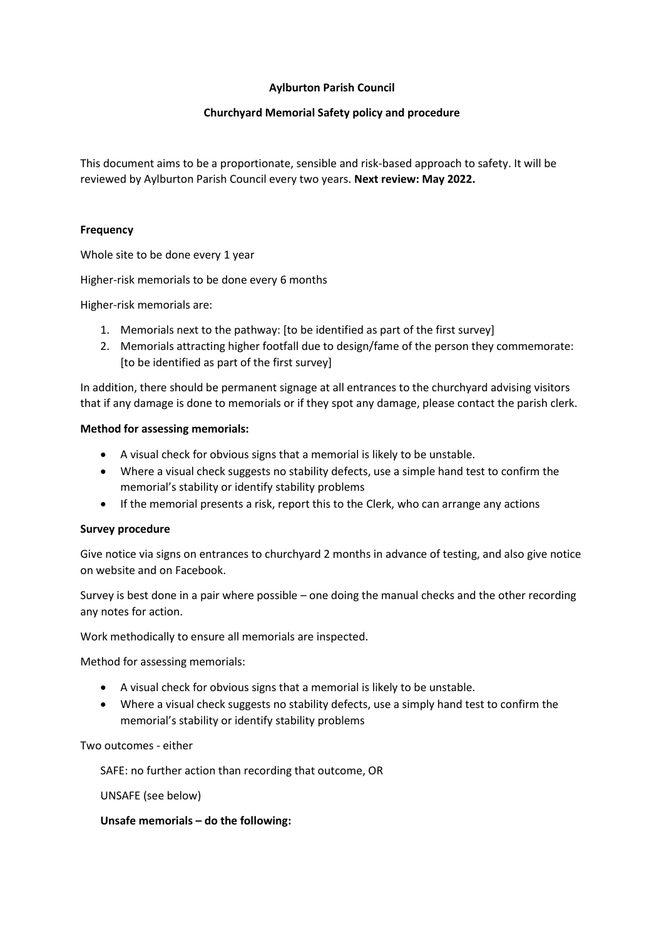## **Aylburton Parish Council**

## **Churchyard Memorial Safety policy and procedure**

This document aims to be a proportionate, sensible and risk-based approach to safety. It will be reviewed by Aylburton Parish Council every two years. **Next review: May 2022.**

#### **Frequency**

Whole site to be done every 1 year

Higher-risk memorials to be done every 6 months

Higher-risk memorials are:

- 1. Memorials next to the pathway: [to be identified as part of the first survey]
- 2. Memorials attracting higher footfall due to design/fame of the person they commemorate: [to be identified as part of the first survey]

In addition, there should be permanent signage at all entrances to the churchyard advising visitors that if any damage is done to memorials or if they spot any damage, please contact the parish clerk.

#### **Method for assessing memorials:**

- A visual check for obvious signs that a memorial is likely to be unstable.
- Where a visual check suggests no stability defects, use a simple hand test to confirm the memorial's stability or identify stability problems
- If the memorial presents a risk, report this to the Clerk, who can arrange any actions

#### **Survey procedure**

Give notice via signs on entrances to churchyard 2 months in advance of testing, and also give notice on website and on Facebook.

Survey is best done in a pair where possible – one doing the manual checks and the other recording any notes for action.

Work methodically to ensure all memorials are inspected.

Method for assessing memorials:

- A visual check for obvious signs that a memorial is likely to be unstable.
- Where a visual check suggests no stability defects, use a simply hand test to confirm the memorial's stability or identify stability problems

Two outcomes - either

SAFE: no further action than recording that outcome, OR

UNSAFE (see below)

#### **Unsafe memorials – do the following:**